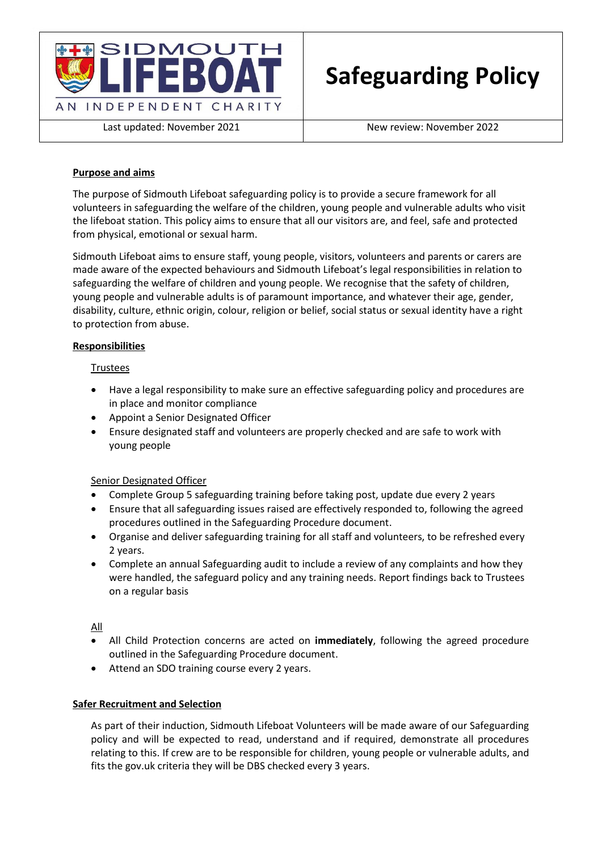

Last updated: November 2021 and New review: November 2022

## **Purpose and aims**

The purpose of Sidmouth Lifeboat safeguarding policy is to provide a secure framework for all volunteers in safeguarding the welfare of the children, young people and vulnerable adults who visit the lifeboat station. This policy aims to ensure that all our visitors are, and feel, safe and protected from physical, emotional or sexual harm.

Sidmouth Lifeboat aims to ensure staff, young people, visitors, volunteers and parents or carers are made aware of the expected behaviours and Sidmouth Lifeboat's legal responsibilities in relation to safeguarding the welfare of children and young people. We recognise that the safety of children, young people and vulnerable adults is of paramount importance, and whatever their age, gender, disability, culture, ethnic origin, colour, religion or belief, social status or sexual identity have a right to protection from abuse.

## **Responsibilities**

## Trustees

- Have a legal responsibility to make sure an effective safeguarding policy and procedures are in place and monitor compliance
- Appoint a Senior Designated Officer
- Ensure designated staff and volunteers are properly checked and are safe to work with young people

#### Senior Designated Officer

- Complete Group 5 safeguarding training before taking post, update due every 2 years
- Ensure that all safeguarding issues raised are effectively responded to, following the agreed procedures outlined in the Safeguarding Procedure document.
- Organise and deliver safeguarding training for all staff and volunteers, to be refreshed every 2 years.
- Complete an annual Safeguarding audit to include a review of any complaints and how they were handled, the safeguard policy and any training needs. Report findings back to Trustees on a regular basis

All

- All Child Protection concerns are acted on **immediately**, following the agreed procedure outlined in the Safeguarding Procedure document.
- Attend an SDO training course every 2 years.

#### **Safer Recruitment and Selection**

As part of their induction, Sidmouth Lifeboat Volunteers will be made aware of our Safeguarding policy and will be expected to read, understand and if required, demonstrate all procedures relating to this. If crew are to be responsible for children, young people or vulnerable adults, and fits the gov.uk criteria they will be DBS checked every 3 years.